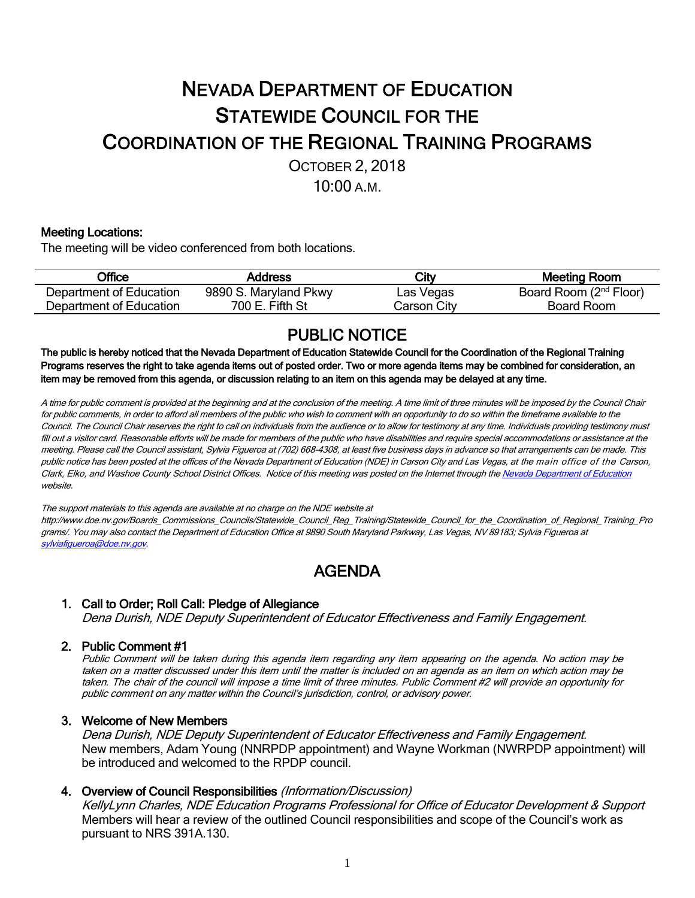# NEVADA DEPARTMENT OF EDUCATION STATEWIDE COUNCIL FOR THE COORDINATION OF THE REGIONAL TRAINING PROGRAMS OCTOBER 2, 2018

10:00 A.M.

#### Meeting Locations:

The meeting will be video conferenced from both locations.

| <b>Office</b>           | Address               | City        | Meeting Room                       |
|-------------------------|-----------------------|-------------|------------------------------------|
| Department of Education | 9890 S. Maryland Pkwy | Las Vegas   | Board Room (2 <sup>nd</sup> Floor) |
| Department of Education | 700 E. Fifth St       | Carson Citv | Board Room                         |

PUBLIC NOTICE The public is hereby noticed that the Nevada Department of Education Statewide Council for the Coordination of the Regional Training Programs reserves the right to take agenda items out of posted order. Two or more agenda items may be combined for consideration, an item may be removed from this agenda, or discussion relating to an item on this agenda may be delayed at any time.

A time for public comment is provided at the beginning and at the conclusion of the meeting. A time limit of three minutes will be imposed by the Council Chair for public comments, in order to afford all members of the public who wish to comment with an opportunity to do so within the timeframe available to the Council. The Council Chair reserves the right to call on individuals from the audience or to allow for testimony at any time. Individuals providing testimony must fill out <sup>a</sup> visitor card. Reasonable efforts will be made for members of the public who have disabilities and require special accommodations or assistance at the meeting. Please call the Council assistant, Sylvia Figueroa at (702) 668-4308, at least five business days in advance so that arrangements can be made. This public notice has been posted at the offices of the Nevada Department of Education (NDE) in Carson City and Las Vegas, at the main office of the Carson, Clark, Elko, and Washoe County School District Offices. Notice of this meeting was posted on the Internet through the Nevada Department of Education website.

The support materials to this agenda are available at no charge on the NDE website at

http://www.doe.nv.gov/Boards\_Commissions\_Councils/Statewide\_Council\_Reg\_Training/Statewide\_Council\_for\_the\_Coordination\_of\_Regional\_Training\_Pro grams/. You may also contact the Department of Education Office at 9890 South Maryland Parkway, Las Vegas, NV 89183; Sylvia Figueroa at sylviafigueroa@doe.nv.gov.

## AGENDA

### 1. Call to Order; Roll Call: Pledge of Allegiance

Dena Durish, NDE Deputy Superintendent of Educator Effectiveness and Family Engagement.

### 2. Public Comment #1

Public Comment will be taken during this agenda item regarding any item appearing on the agenda. No action may be taken on a matter discussed under this item until the matter is included on an agenda as an item on which action may be taken. The chair of the council will impose <sup>a</sup> time limit of three minutes. Public Comment #2 will provide an opportunity for public comment on any matter within the Council's jurisdiction, control, or advisory power.

#### 3. Welcome of New Members

Dena Durish, NDE Deputy Superintendent of Educator Effectiveness and Family Engagement. New members, Adam Young (NNRPDP appointment) and Wayne Workman (NWRPDP appointment) will be introduced and welcomed to the RPDP council.

#### 4. Overview of Council Responsibilities (Information/Discussion)

KellyLynn Charles, NDE Education Programs Professional for Office of Educator Development & Support Members will hear a review of the outlined Council responsibilities and scope of the Council's work as pursuant to NRS 391A.130.